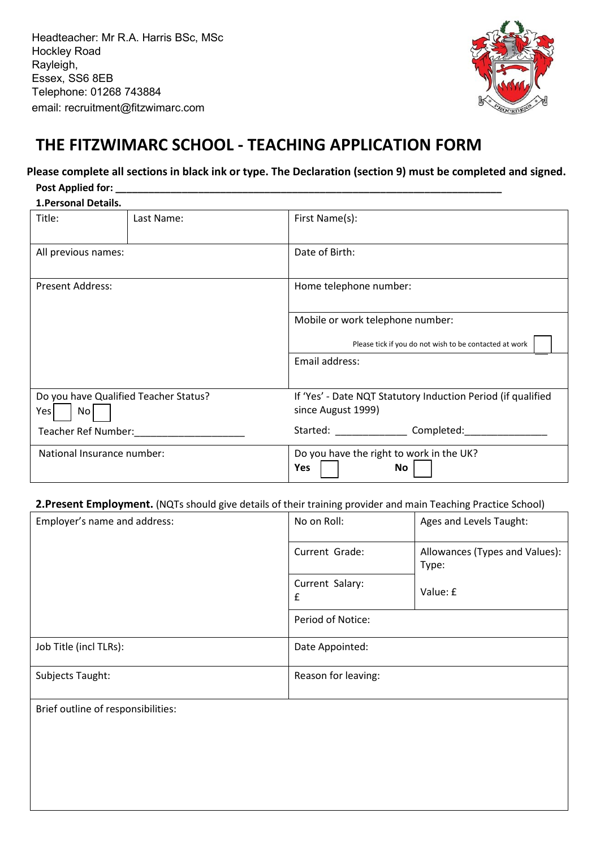Headteacher: Mr R.A. Harris BSc, MSc Hockley Road Rayleigh, Essex, SS6 8EB Telephone: 01268 743884 email: recruitment@fitzwimarc.com



# **THE FITZWIMARC SCHOOL ‐ TEACHING APPLICATION FORM**

# **Please complete all sections in black ink or type. The Declaration (section 9) must be completed and signed.**

## Post Applied for:

| 1. Personal Details.                               |            |                                                                                    |  |  |  |
|----------------------------------------------------|------------|------------------------------------------------------------------------------------|--|--|--|
| Title:                                             | Last Name: | First Name(s):                                                                     |  |  |  |
| All previous names:                                |            | Date of Birth:                                                                     |  |  |  |
| <b>Present Address:</b>                            |            | Home telephone number:                                                             |  |  |  |
|                                                    |            | Mobile or work telephone number:                                                   |  |  |  |
|                                                    |            | Please tick if you do not wish to be contacted at work                             |  |  |  |
|                                                    |            | Email address:                                                                     |  |  |  |
| Do you have Qualified Teacher Status?<br>No<br>Yes |            | If 'Yes' - Date NQT Statutory Induction Period (if qualified<br>since August 1999) |  |  |  |
| Teacher Ref Number:                                |            | Started: Completed:                                                                |  |  |  |
| National Insurance number:                         |            | Do you have the right to work in the UK?<br>Yes<br>No                              |  |  |  |

## **2.Present Employment.** (NQTs should give details of their training provider and main Teaching Practice School)

| Employer's name and address: | No on Roll:          | Ages and Levels Taught:                 |  |
|------------------------------|----------------------|-----------------------------------------|--|
|                              | Current Grade:       | Allowances (Types and Values):<br>Type: |  |
|                              | Current Salary:<br>£ | Value: £                                |  |
|                              | Period of Notice:    |                                         |  |
| Job Title (incl TLRs):       | Date Appointed:      |                                         |  |
| Subjects Taught:             | Reason for leaving:  |                                         |  |
| .                            |                      |                                         |  |

Brief outline of responsibilities: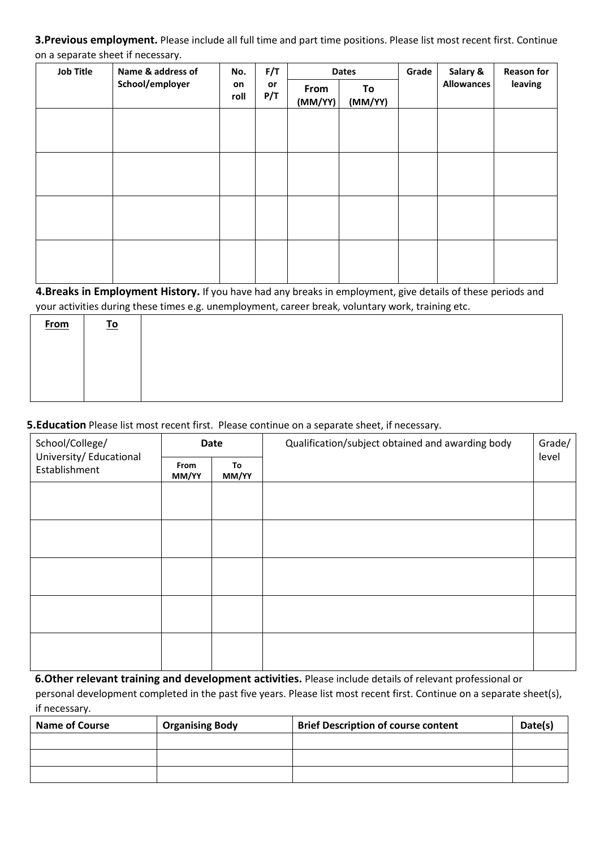**3.Previous employment.** Please include all full time and part time positions. Please list most recent first. Continue on a separate sheet if necessary.

| <b>Job Title</b> | Name & address of | No.        | F/T<br>or<br>P/T | <b>Dates</b>    |               | Grade | Salary &          | <b>Reason for</b> |
|------------------|-------------------|------------|------------------|-----------------|---------------|-------|-------------------|-------------------|
|                  | School/employer   | on<br>roll |                  | From<br>(MM/YY) | To<br>(MM/YY) |       | <b>Allowances</b> | leaving           |
|                  |                   |            |                  |                 |               |       |                   |                   |
|                  |                   |            |                  |                 |               |       |                   |                   |
|                  |                   |            |                  |                 |               |       |                   |                   |
|                  |                   |            |                  |                 |               |       |                   |                   |
|                  |                   |            |                  |                 |               |       |                   |                   |
|                  |                   |            |                  |                 |               |       |                   |                   |
|                  |                   |            |                  |                 |               |       |                   |                   |
|                  |                   |            |                  |                 |               |       |                   |                   |

**4.Breaks in Employment History.** If you have had any breaks in employment, give details of these periods and your activities during these times e.g. unemployment, career break, voluntary work, training etc.

| <b>From</b> | <u>To</u> |  |
|-------------|-----------|--|
|             |           |  |
|             |           |  |
|             |           |  |
|             |           |  |

**5.Education** Please list most recent first. Please continue on a separate sheet, if necessary.

| School/College/<br>University/ Educational<br>Establishment | Date          |             | Qualification/subject obtained and awarding body | Grade/ |
|-------------------------------------------------------------|---------------|-------------|--------------------------------------------------|--------|
|                                                             | From<br>MM/YY | To<br>MM/YY |                                                  | level  |
|                                                             |               |             |                                                  |        |
|                                                             |               |             |                                                  |        |
|                                                             |               |             |                                                  |        |
|                                                             |               |             |                                                  |        |
|                                                             |               |             |                                                  |        |
|                                                             |               |             |                                                  |        |
|                                                             |               |             |                                                  |        |
|                                                             |               |             |                                                  |        |

**6.Other relevant training and development activities.** Please include details of relevant professional or

personal development completed in the past five years. Please list most recent first. Continue on a separate sheet(s), if necessary.

| <b>Name of Course</b> | <b>Organising Body</b> | <b>Brief Description of course content</b> | Date(s) |
|-----------------------|------------------------|--------------------------------------------|---------|
|                       |                        |                                            |         |
|                       |                        |                                            |         |
|                       |                        |                                            |         |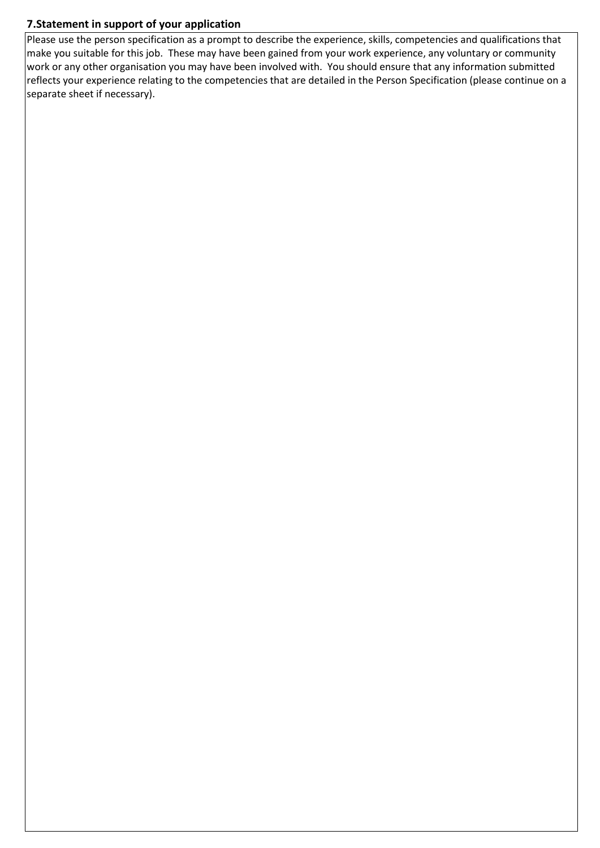# **7.Statement in support of your application**

Please use the person specification as a prompt to describe the experience, skills, competencies and qualifications that make you suitable for this job. These may have been gained from your work experience, any voluntary or community work or any other organisation you may have been involved with. You should ensure that any information submitted reflects your experience relating to the competencies that are detailed in the Person Specification (please continue on a separate sheet if necessary).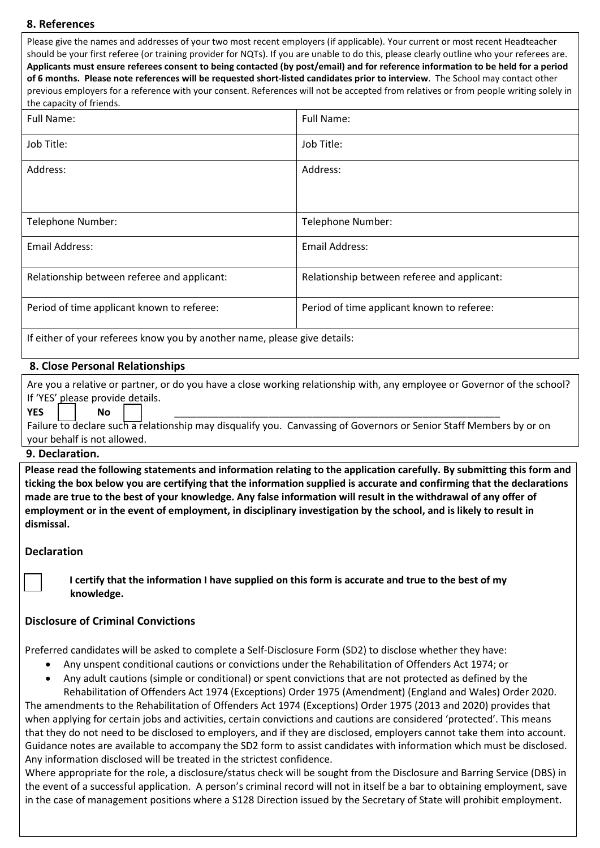#### **8. References**

Please give the names and addresses of your two most recent employers (if applicable). Your current or most recent Headteacher should be your first referee (or training provider for NQTs). If you are unable to do this, please clearly outline who your referees are. **Applicants must ensure referees consent to being contacted (by post/email) and for reference information to be held for a period of 6 months. Please note references will be requested short‐listed candidates prior to interview**. The School may contact other previous employers for a reference with your consent. References will not be accepted from relatives or from people writing solely in the capacity of friends.

| Full Name:                                                                | Full Name:                                  |  |  |  |
|---------------------------------------------------------------------------|---------------------------------------------|--|--|--|
| Job Title:                                                                | Job Title:                                  |  |  |  |
| Address:                                                                  | Address:                                    |  |  |  |
|                                                                           |                                             |  |  |  |
| Telephone Number:                                                         | Telephone Number:                           |  |  |  |
| <b>Email Address:</b>                                                     | Email Address:                              |  |  |  |
| Relationship between referee and applicant:                               | Relationship between referee and applicant: |  |  |  |
| Period of time applicant known to referee:                                | Period of time applicant known to referee:  |  |  |  |
| If either of your referees know you by another name, please give details: |                                             |  |  |  |

#### **8. Close Personal Relationships**

Are you a relative or partner, or do you have a close working relationship with, any employee or Governor of the school? If 'YES' please provide details.

#### **YES** ☐ **No** ☐ \_\_\_\_\_\_\_\_\_\_\_\_\_\_\_\_\_\_\_\_\_\_\_\_\_\_\_\_\_\_\_\_\_\_\_\_\_\_\_\_\_\_\_\_\_\_\_\_\_\_\_\_\_\_\_\_\_\_\_

Failure to declare such a relationship may disqualify you. Canvassing of Governors or Senior Staff Members by or on your behalf is not allowed.

#### **9. Declaration.**

**Please read the following statements and information relating to the application carefully. By submitting this form and ticking the box below you are certifying that the information supplied is accurate and confirming that the declarations made are true to the best of your knowledge. Any false information will result in the withdrawal of any offer of employment or in the event of employment, in disciplinary investigation by the school, and is likely to result in dismissal.**

#### **Declaration**

☐ **I certify that the information I have supplied on this form is accurate and true to the best of my knowledge.**

#### **Disclosure of Criminal Convictions**

Preferred candidates will be asked to complete a Self-Disclosure Form (SD2) to disclose whether they have:

- Any unspent conditional cautions or convictions under the Rehabilitation of Offenders Act 1974; or
- Any adult cautions (simple or conditional) or spent convictions that are not protected as defined by the Rehabilitation of Offenders Act 1974 (Exceptions) Order 1975 (Amendment) (England and Wales) Order 2020.

The amendments to the Rehabilitation of Offenders Act 1974 (Exceptions) Order 1975 (2013 and 2020) provides that when applying for certain jobs and activities, certain convictions and cautions are considered 'protected'. This means that they do not need to be disclosed to employers, and if they are disclosed, employers cannot take them into account. Guidance notes are available to accompany the SD2 form to assist candidates with information which must be disclosed. Any information disclosed will be treated in the strictest confidence.

Where appropriate for the role, a disclosure/status check will be sought from the Disclosure and Barring Service (DBS) in the event of a successful application. A person's criminal record will not in itself be a bar to obtaining employment, save in the case of management positions where a S128 Direction issued by the Secretary of State will prohibit employment.